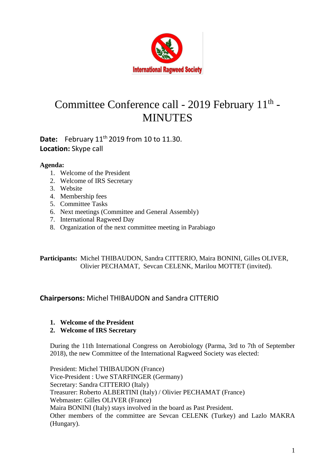

# Committee Conference call - 2019 February 11<sup>th</sup> -**MINUTES**

# **Date:** February 11<sup>th</sup> 2019 from 10 to 11.30. **Location:** Skype call

#### **Agenda:**

- 1. Welcome of the President
- 2. Welcome of IRS Secretary
- 3. Website
- 4. Membership fees
- 5. Committee Tasks
- 6. Next meetings (Committee and General Assembly)
- 7. International Ragweed Day
- 8. Organization of the next committee meeting in Parabiago

**Participants:** Michel THIBAUDON, Sandra CITTERIO, Maira BONINI, Gilles OLIVER, Olivier PECHAMAT, Sevcan CELENK, Marilou MOTTET (invited).

## **Chairpersons:** Michel THIBAUDON and Sandra CITTERIO

**1. Welcome of the President**

#### **2. Welcome of IRS Secretary**

During the 11th International Congress on Aerobiology (Parma, 3rd to 7th of September 2018), the new Committee of the International Ragweed Society was elected:

President: Michel THIBAUDON (France) Vice-President : Uwe STARFINGER (Germany) Secretary: Sandra CITTERIO (Italy) Treasurer: Roberto ALBERTINI (Italy) / Olivier PECHAMAT (France) Webmaster: Gilles OLIVER (France) Maira BONINI (Italy) stays involved in the board as Past President. Other members of the committee are Sevcan CELENK (Turkey) and Lazlo MAKRA (Hungary).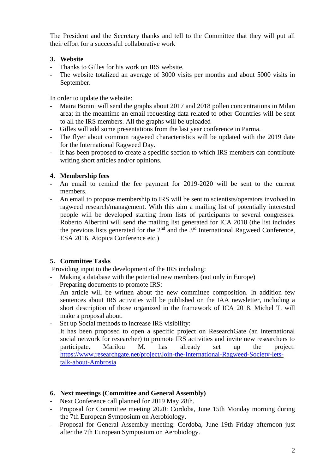The President and the Secretary thanks and tell to the Committee that they will put all their effort for a successful collaborative work

#### **3. Website**

- Thanks to Gilles for his work on IRS website.
- The website totalized an average of 3000 visits per months and about 5000 visits in September.

In order to update the website:

- Maira Bonini will send the graphs about 2017 and 2018 pollen concentrations in Milan area; in the meantime an email requesting data related to other Countries will be sent to all the IRS members. All the graphs will be uploaded
- Gilles will add some presentations from the last year conference in Parma.
- The flyer about common ragweed characteristics will be updated with the 2019 date for the International Ragweed Day.
- It has been proposed to create a specific section to which IRS members can contribute writing short articles and/or opinions.

### **4. Membership fees**

- An email to remind the fee payment for 2019-2020 will be sent to the current members.
- An email to propose membership to IRS will be sent to scientists/operators involved in ragweed research/management. With this aim a mailing list of potentially interested people will be developed starting from lists of participants to several congresses. Roberto Albertini will send the mailing list generated for ICA 2018 (the list includes the previous lists generated for the  $2<sup>nd</sup>$  and the  $3<sup>rd</sup>$  International Ragweed Conference, ESA 2016, Atopica Conference etc.)

## **5. Committee Tasks**

Providing input to the development of the IRS including:

- Making a database with the potential new members (not only in Europe)
- Preparing documents to promote IRS:
- An article will be written about the new committee composition. In addition few sentences about IRS activities will be published on the IAA newsletter, including a short description of those organized in the framework of ICA 2018. Michel T. will make a proposal about.
- Set up Social methods to increase IRS visibility: It has been proposed to open a specific project on ResearchGate (an international social network for researcher) to promote IRS activities and invite new researchers to participate. Marilou M. has already set up the project: [https://www.researchgate.net/project/Join-the-International-Ragweed-Society-lets](https://www.researchgate.net/project/Join-the-International-Ragweed-Society-lets-talk-about-Ambrosia)[talk-about-Ambrosia](https://www.researchgate.net/project/Join-the-International-Ragweed-Society-lets-talk-about-Ambrosia)

## **6. Next meetings (Committee and General Assembly)**

- Next Conference call planned for 2019 May 28th.
- Proposal for Committee meeting 2020: Cordoba, June 15th Monday morning during the 7th European Symposium on Aerobiology.
- Proposal for General Assembly meeting: Cordoba, June 19th Friday afternoon just after the 7th European Symposium on Aerobiology.